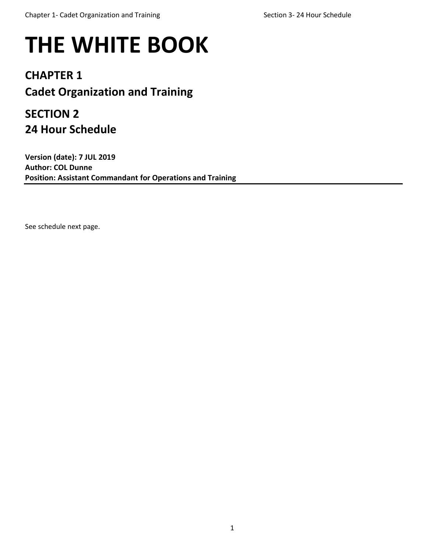## **THE WHITE BOOK**

## **CHAPTER 1 Cadet Organization and Training**

## **SECTION 2 24 Hour Schedule**

**Version (date): 7 JUL 2019 Author: COL Dunne Position: Assistant Commandant for Operations and Training**

See schedule next page.